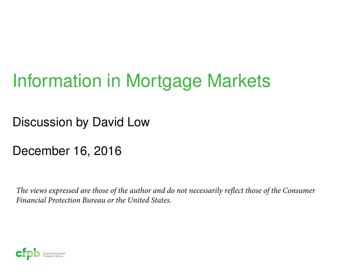# Information in Mortgage Markets

Discussion by David Low

December 16, 2016

*The views expressed are those of the author and do not necessarily reflect those of the Consumer Financial Protection Bureau or the United States.*

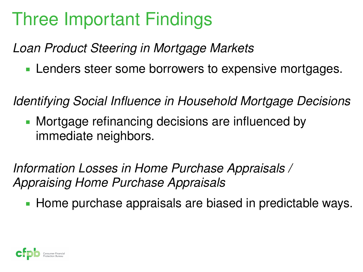# Three Important Findings

*Loan Product Steering in Mortgage Markets*

**Lenders steer some borrowers to expensive mortgages.** 

*Identifying Social Influence in Household Mortgage Decisions*

**Mortgage refinancing decisions are influenced by** immediate neighbors.

*Information Losses in Home Purchase Appraisals / Appraising Home Purchase Appraisals*

Home purchase appraisals are biased in predictable ways.

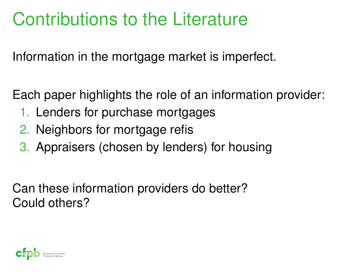## Contributions to the Literature

Information in the mortgage market is imperfect.

Each paper highlights the role of an information provider:

- 1. Lenders for purchase mortgages
- 2. Neighbors for mortgage refis
- 3. Appraisers (chosen by lenders) for housing

Can these information providers do better? Could others?

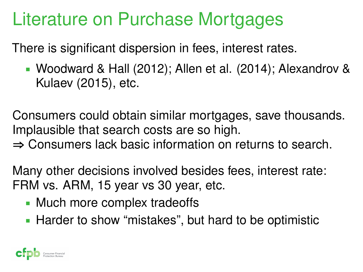### Literature on Purchase Mortgages

There is significant dispersion in fees, interest rates.

 Woodward & Hall (2012); Allen et al. (2014); Alexandrov & Kulaev (2015), etc.

Consumers could obtain similar mortgages, save thousands. Implausible that search costs are so high.

**⇒** Consumers lack basic information on returns to search.

Many other decisions involved besides fees, interest rate: FRM vs. ARM, 15 year vs 30 year, etc.

- **Much more complex tradeoffs**
- Harder to show "mistakes", but hard to be optimistic

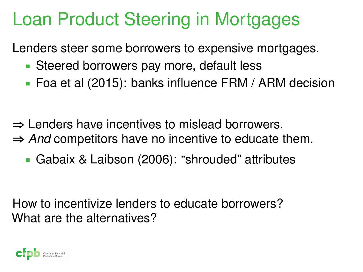#### Loan Product Steering in Mortgages

Lenders steer some borrowers to expensive mortgages.

- Steered borrowers pay more, default less
- Foa et al (2015): banks influence FRM / ARM decision
- **⇒** Lenders have incentives to mislead borrowers. **⇒** *And* competitors have no incentive to educate them.
	- Gabaix & Laibson (2006): "shrouded" attributes

How to incentivize lenders to educate borrowers? What are the alternatives?

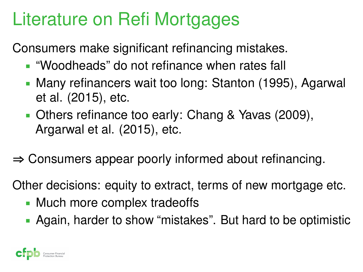# Literature on Refi Mortgages

Consumers make significant refinancing mistakes.

- "Woodheads" do not refinance when rates fall
- Many refinancers wait too long: Stanton (1995), Agarwal et al. (2015), etc.
- **Deta** Others refinance too early: Chang & Yavas (2009), Argarwal et al. (2015), etc.
- **⇒** Consumers appear poorly informed about refinancing.

Other decisions: equity to extract, terms of new mortgage etc.

- Much more complex tradeoffs
- Again, harder to show "mistakes". But hard to be optimistic

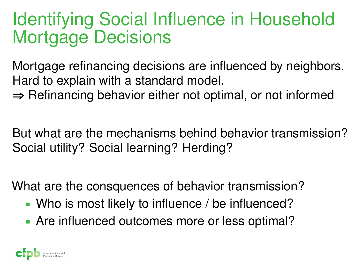#### Identifying Social Influence in Household Mortgage Decisions

Mortgage refinancing decisions are influenced by neighbors. Hard to explain with a standard model.

**⇒** Refinancing behavior either not optimal, or not informed

But what are the mechanisms behind behavior transmission? Social utility? Social learning? Herding?

What are the consquences of behavior transmission?

- Who is most likely to influence / be influenced?
- Are influenced outcomes more or less optimal?

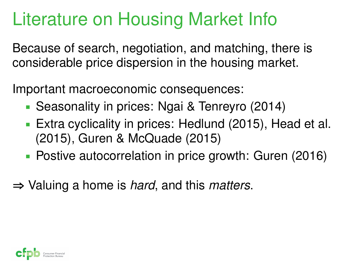# Literature on Housing Market Info

Because of search, negotiation, and matching, there is considerable price dispersion in the housing market.

Important macroeconomic consequences:

- Seasonality in prices: Ngai & Tenreyro (2014)
- Extra cyclicality in prices: Hedlund (2015), Head et al. (2015), Guren & McQuade (2015)
- Postive autocorrelation in price growth: Guren (2016)
- **⇒** Valuing a home is *hard*, and this *matters*.

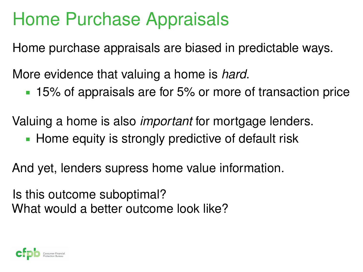### Home Purchase Appraisals

Home purchase appraisals are biased in predictable ways.

More evidence that valuing a home is *hard*.

15% of appraisals are for 5% or more of transaction price

Valuing a home is also *important* for mortgage lenders.

**Home equity is strongly predictive of default risk** 

And yet, lenders supress home value information.

Is this outcome suboptimal? What would a better outcome look like?